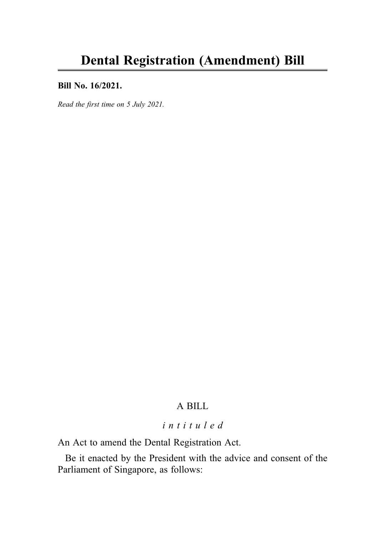#### Bill No. 16/2021.

Read the first time on 5 July 2021.

# A BILL

### intituled

An Act to amend the Dental Registration Act.

Be it enacted by the President with the advice and consent of the Parliament of Singapore, as follows: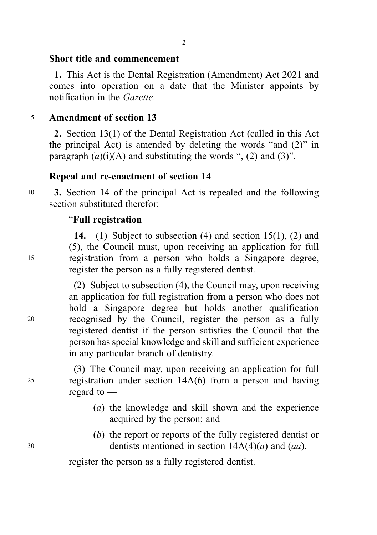#### Short title and commencement

1. This Act is the Dental Registration (Amendment) Act 2021 and comes into operation on a date that the Minister appoints by notification in the Gazette.

### <sup>5</sup> Amendment of section 13

2. Section 13(1) of the Dental Registration Act (called in this Act the principal Act) is amended by deleting the words "and (2)" in paragraph  $(a)(i)(A)$  and substituting the words ", (2) and (3)".

# Repeal and re-enactment of section 14

<sup>10</sup> 3. Section 14 of the principal Act is repealed and the following section substituted therefor:

### "Full registration

14.—(1) Subject to subsection  $(4)$  and section 15(1), (2) and (5), the Council must, upon receiving an application for full <sup>15</sup> registration from a person who holds a Singapore degree, register the person as a fully registered dentist.

(2) Subject to subsection (4), the Council may, upon receiving an application for full registration from a person who does not hold a Singapore degree but holds another qualification <sup>20</sup> recognised by the Council, register the person as a fully registered dentist if the person satisfies the Council that the person has special knowledge and skill and sufficient experience in any particular branch of dentistry.

(3) The Council may, upon receiving an application for full <sup>25</sup> registration under section 14A(6) from a person and having regard to —

- (a) the knowledge and skill shown and the experience acquired by the person; and
- (b) the report or reports of the fully registered dentist or  $30$  dentists mentioned in section  $14A(4)(a)$  and  $(aa)$ ,

register the person as a fully registered dentist.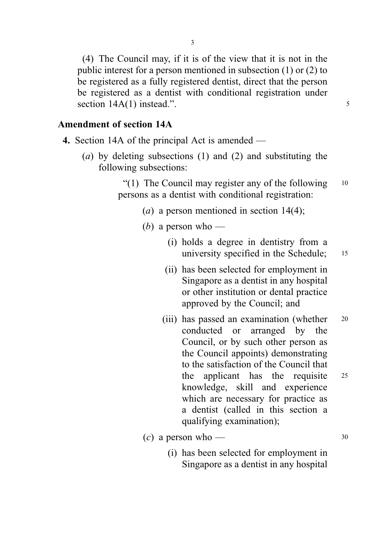(4) The Council may, if it is of the view that it is not in the public interest for a person mentioned in subsection (1) or (2) to be registered as a fully registered dentist, direct that the person be registered as a dentist with conditional registration under section 14A(1) instead.".

# Amendment of section 14A

- 4. Section 14A of the principal Act is amended
	- (a) by deleting subsections (1) and (2) and substituting the following subsections:

"(1) The Council may register any of the following  $10$ persons as a dentist with conditional registration:

- (*a*) a person mentioned in section  $14(4)$ ;
- (*b*) a person who
	- (i) holds a degree in dentistry from a university specified in the Schedule; 15
	- (ii) has been selected for employment in Singapore as a dentist in any hospital or other institution or dental practice approved by the Council; and
	- (iii) has passed an examination (whether 20 conducted or arranged by the Council, or by such other person as the Council appoints) demonstrating to the satisfaction of the Council that the applicant has the requisite <sup>25</sup> knowledge, skill and experience which are necessary for practice as a dentist (called in this section a qualifying examination);
- $\left(c\right)$  a person who 30
	- (i) has been selected for employment in Singapore as a dentist in any hospital

3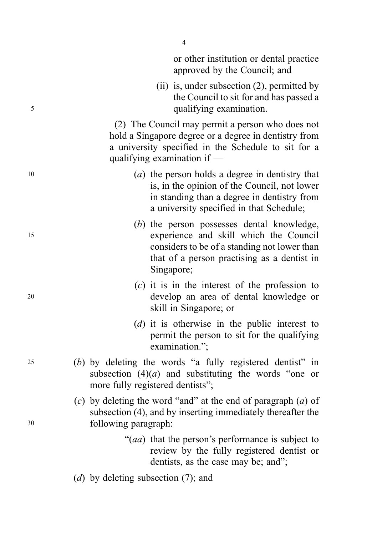|    | or other institution or dental practice<br>approved by the Council; and                                                                                                                           |
|----|---------------------------------------------------------------------------------------------------------------------------------------------------------------------------------------------------|
| 5  | $(ii)$ is, under subsection $(2)$ , permitted by<br>the Council to sit for and has passed a<br>qualifying examination.                                                                            |
|    | (2) The Council may permit a person who does not<br>hold a Singapore degree or a degree in dentistry from<br>a university specified in the Schedule to sit for a<br>qualifying examination if —   |
| 10 | (a) the person holds a degree in dentistry that<br>is, in the opinion of the Council, not lower<br>in standing than a degree in dentistry from<br>a university specified in that Schedule;        |
| 15 | (b) the person possesses dental knowledge,<br>experience and skill which the Council<br>considers to be of a standing not lower than<br>that of a person practising as a dentist in<br>Singapore; |
| 20 | $(c)$ it is in the interest of the profession to<br>develop an area of dental knowledge or<br>skill in Singapore; or                                                                              |
|    | (d) it is otherwise in the public interest to<br>permit the person to sit for the qualifying<br>examination.";                                                                                    |
| 25 | $(b)$ by deleting the words "a fully registered dentist" in<br>subsection $(4)(a)$ and substituting the words "one<br><b>or</b><br>more fully registered dentists";                               |
| 30 | (c) by deleting the word "and" at the end of paragraph $(a)$ of<br>subsection (4), and by inserting immediately thereafter the<br>following paragraph:                                            |
|    | "( <i>aa</i> ) that the person's performance is subject to<br>review by the fully registered dentist or<br>dentists, as the case may be; and";                                                    |
|    | (d) by deleting subsection $(7)$ ; and                                                                                                                                                            |
|    |                                                                                                                                                                                                   |

4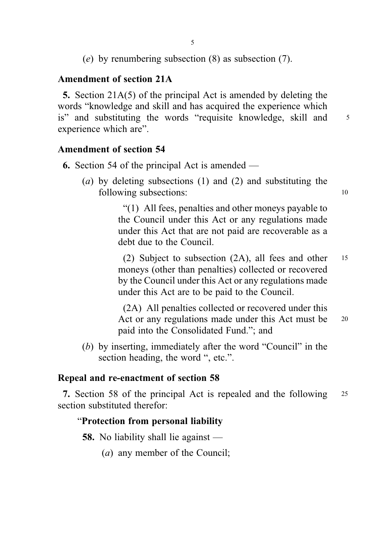(e) by renumbering subsection (8) as subsection (7).

# Amendment of section 21A

5. Section 21A(5) of the principal Act is amended by deleting the words "knowledge and skill and has acquired the experience which is" and substituting the words "requisite knowledge, skill and 5 experience which are".

### Amendment of section 54

(a) by deleting subsections (1) and (2) and substituting the following subsections: 10

> "(1) All fees, penalties and other moneys payable to the Council under this Act or any regulations made under this Act that are not paid are recoverable as a debt due to the Council.

(2) Subject to subsection (2A), all fees and other <sup>15</sup> moneys (other than penalties) collected or recovered by the Council under this Act or any regulations made under this Act are to be paid to the Council.

(2A) All penalties collected or recovered under this Act or any regulations made under this Act must be 20 paid into the Consolidated Fund."; and

(b) by inserting, immediately after the word "Council" in the section heading, the word ", etc.".

# Repeal and re-enactment of section 58

7. Section 58 of the principal Act is repealed and the following <sup>25</sup> section substituted therefor:

# "Protection from personal liability

58. No liability shall lie against —

(a) any member of the Council;

<sup>6.</sup> Section 54 of the principal Act is amended —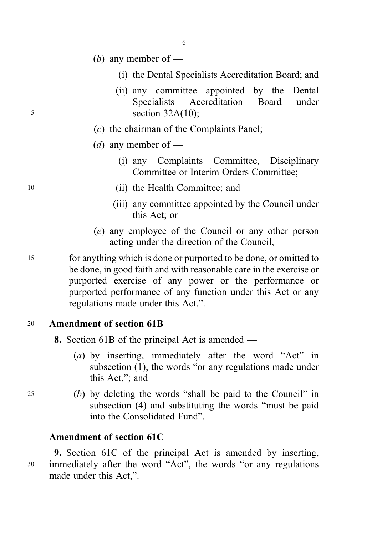- (*b*) any member of
	- (i) the Dental Specialists Accreditation Board; and
- (ii) any committee appointed by the Dental Specialists Accreditation Board under <sup>5</sup> section 32A(10);
	- (c) the chairman of the Complaints Panel;
	- (*d*) any member of
		- (i) any Complaints Committee, Disciplinary Committee or Interim Orders Committee;
- <sup>10</sup> (ii) the Health Committee; and
	- (iii) any committee appointed by the Council under this Act; or
	- (e) any employee of the Council or any other person acting under the direction of the Council,
- <sup>15</sup> for anything which is done or purported to be done, or omitted to be done, in good faith and with reasonable care in the exercise or purported exercise of any power or the performance or purported performance of any function under this Act or any regulations made under this Act.".

### <sup>20</sup> Amendment of section 61B

- 8. Section 61B of the principal Act is amended
	- (a) by inserting, immediately after the word "Act" in subsection (1), the words "or any regulations made under this Act,"; and
- <sup>25</sup> (b) by deleting the words "shall be paid to the Council" in subsection (4) and substituting the words "must be paid into the Consolidated Fund".

### Amendment of section 61C

9. Section 61C of the principal Act is amended by inserting, <sup>30</sup> immediately after the word "Act", the words "or any regulations made under this Act,".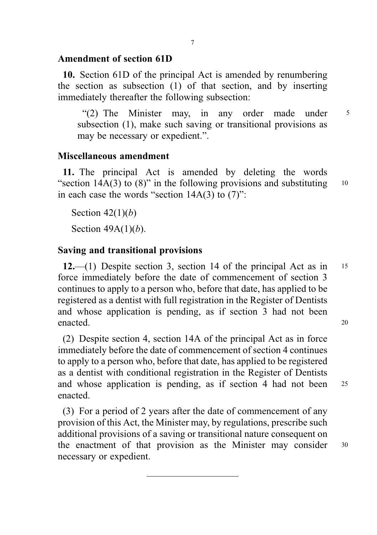### Amendment of section 61D

10. Section 61D of the principal Act is amended by renumbering the section as subsection (1) of that section, and by inserting immediately thereafter the following subsection:

"(2) The Minister may, in any order made under <sup>5</sup> subsection (1), make such saving or transitional provisions as may be necessary or expedient.".

#### Miscellaneous amendment

11. The principal Act is amended by deleting the words "section 14A(3) to (8)" in the following provisions and substituting  $10$ in each case the words "section  $14A(3)$  to  $(7)$ ":

Section  $42(1)(b)$ 

Section  $49A(1)(b)$ .

#### Saving and transitional provisions

12.—(1) Despite section 3, section 14 of the principal Act as in  $15$ force immediately before the date of commencement of section 3 continues to apply to a person who, before that date, has applied to be registered as a dentist with full registration in the Register of Dentists and whose application is pending, as if section 3 had not been enacted. 20

(2) Despite section 4, section 14A of the principal Act as in force immediately before the date of commencement of section 4 continues to apply to a person who, before that date, has applied to be registered as a dentist with conditional registration in the Register of Dentists and whose application is pending, as if section 4 had not been <sup>25</sup> enacted.

(3) For a period of 2 years after the date of commencement of any provision of this Act, the Minister may, by regulations, prescribe such additional provisions of a saving or transitional nature consequent on the enactment of that provision as the Minister may consider <sup>30</sup> necessary or expedient.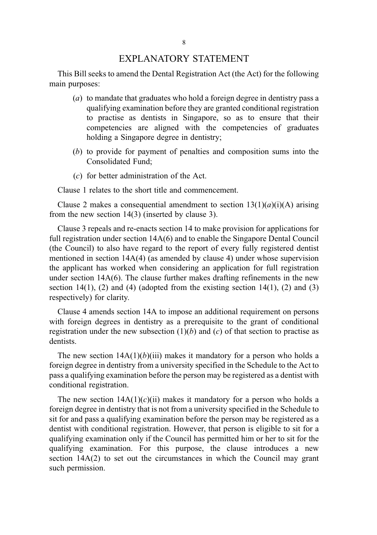#### EXPLANATORY STATEMENT

This Bill seeks to amend the Dental Registration Act (the Act) for the following main purposes:

- (a) to mandate that graduates who hold a foreign degree in dentistry pass a qualifying examination before they are granted conditional registration to practise as dentists in Singapore, so as to ensure that their competencies are aligned with the competencies of graduates holding a Singapore degree in dentistry;
- (b) to provide for payment of penalties and composition sums into the Consolidated Fund;
- (c) for better administration of the Act.

Clause 1 relates to the short title and commencement.

Clause 2 makes a consequential amendment to section  $13(1)(a)(i)(A)$  arising from the new section 14(3) (inserted by clause 3).

Clause 3 repeals and re-enacts section 14 to make provision for applications for full registration under section 14A(6) and to enable the Singapore Dental Council (the Council) to also have regard to the report of every fully registered dentist mentioned in section 14A(4) (as amended by clause 4) under whose supervision the applicant has worked when considering an application for full registration under section  $14A(6)$ . The clause further makes drafting refinements in the new section 14(1), (2) and (4) (adopted from the existing section 14(1), (2) and (3) respectively) for clarity.

Clause 4 amends section 14A to impose an additional requirement on persons with foreign degrees in dentistry as a prerequisite to the grant of conditional registration under the new subsection  $(1)(b)$  and  $(c)$  of that section to practise as dentists.

The new section  $14A(1)(b)(iii)$  makes it mandatory for a person who holds a foreign degree in dentistry from a university specified in the Schedule to the Act to pass a qualifying examination before the person may be registered as a dentist with conditional registration.

The new section  $14A(1)(c)(ii)$  makes it mandatory for a person who holds a foreign degree in dentistry that is not from a university specified in the Schedule to sit for and pass a qualifying examination before the person may be registered as a dentist with conditional registration. However, that person is eligible to sit for a qualifying examination only if the Council has permitted him or her to sit for the qualifying examination. For this purpose, the clause introduces a new section 14A(2) to set out the circumstances in which the Council may grant such permission.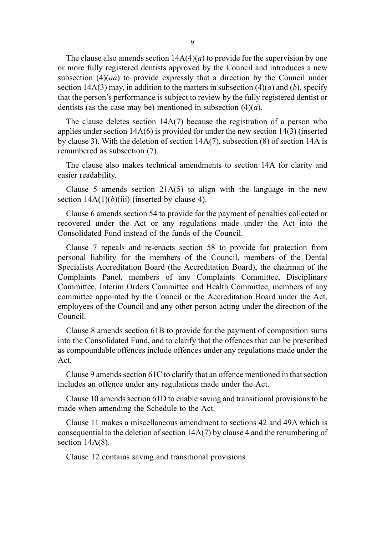The clause also amends section  $14A(4)(a)$  to provide for the supervision by one or more fully registered dentists approved by the Council and introduces a new subsection  $(4)(aa)$  to provide expressly that a direction by the Council under section 14A(3) may, in addition to the matters in subsection (4)(*a*) and (*b*), specify that the person's performance is subject to review by the fully registered dentist or dentists (as the case may be) mentioned in subsection  $(4)(a)$ .

The clause deletes section 14A(7) because the registration of a person who applies under section  $14A(6)$  is provided for under the new section  $14(3)$  (inserted by clause 3). With the deletion of section 14A(7), subsection (8) of section 14A is renumbered as subsection (7).

The clause also makes technical amendments to section 14A for clarity and easier readability.

Clause 5 amends section  $21A(5)$  to align with the language in the new section  $14A(1)(b)(iii)$  (inserted by clause 4).

Clause 6 amends section 54 to provide for the payment of penalties collected or recovered under the Act or any regulations made under the Act into the Consolidated Fund instead of the funds of the Council.

Clause 7 repeals and re-enacts section 58 to provide for protection from personal liability for the members of the Council, members of the Dental Specialists Accreditation Board (the Accreditation Board), the chairman of the Complaints Panel, members of any Complaints Committee, Disciplinary Committee, Interim Orders Committee and Health Committee, members of any committee appointed by the Council or the Accreditation Board under the Act, employees of the Council and any other person acting under the direction of the Council.

Clause 8 amends section 61B to provide for the payment of composition sums into the Consolidated Fund, and to clarify that the offences that can be prescribed as compoundable offences include offences under any regulations made under the Act.

Clause 9 amends section 61C to clarify that an offence mentioned in that section includes an offence under any regulations made under the Act.

Clause 10 amends section 61D to enable saving and transitional provisions to be made when amending the Schedule to the Act.

Clause 11 makes a miscellaneous amendment to sections 42 and 49A which is consequential to the deletion of section  $14A(7)$  by clause 4 and the renumbering of section  $14A(8)$ .

Clause 12 contains saving and transitional provisions.